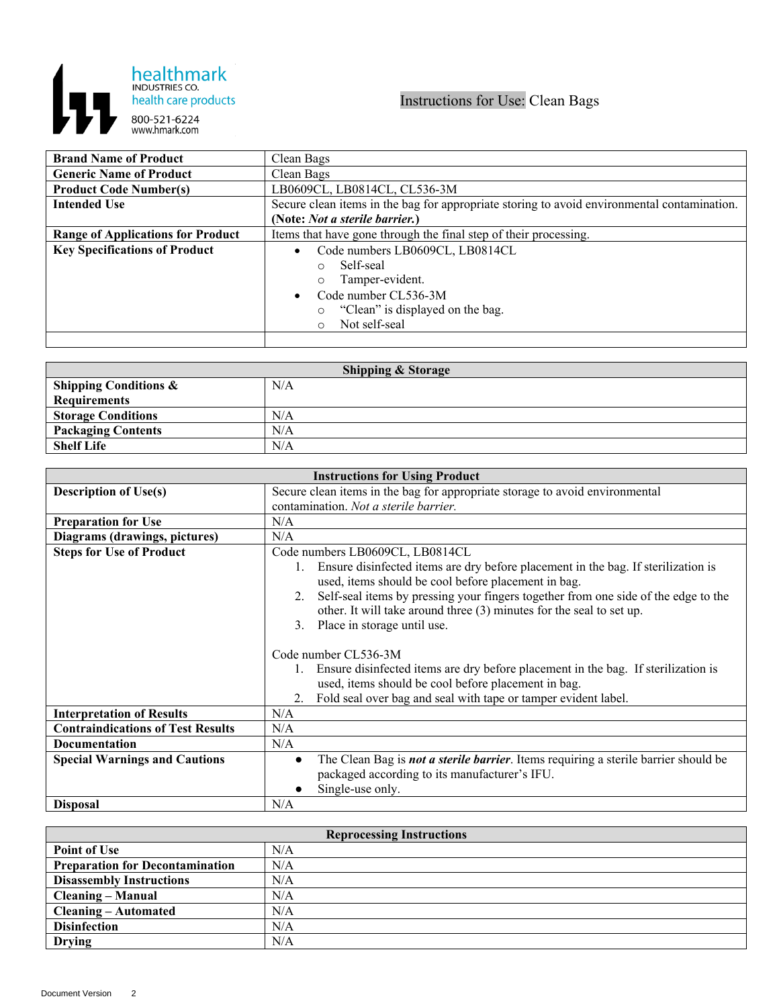

## Instructions for Use: Clean Bags

| <b>Brand Name of Product</b>             | Clean Bags                                                                                  |
|------------------------------------------|---------------------------------------------------------------------------------------------|
| <b>Generic Name of Product</b>           | Clean Bags                                                                                  |
| <b>Product Code Number(s)</b>            | LB0609CL, LB0814CL, CL536-3M                                                                |
| <b>Intended Use</b>                      | Secure clean items in the bag for appropriate storing to avoid environmental contamination. |
|                                          | (Note: Not a sterile barrier.)                                                              |
| <b>Range of Applications for Product</b> | Items that have gone through the final step of their processing.                            |
| <b>Key Specifications of Product</b>     | Code numbers LB0609CL, LB0814CL                                                             |
|                                          | Self-seal<br>$\circ$                                                                        |
|                                          | Tamper-evident.<br>$\circ$                                                                  |
|                                          | Code number CL536-3M<br>$\bullet$                                                           |
|                                          | "Clean" is displayed on the bag.<br>$\circ$                                                 |
|                                          | Not self-seal<br>$\circ$                                                                    |
|                                          |                                                                                             |

| <b>Shipping &amp; Storage</b>    |     |  |
|----------------------------------|-----|--|
| <b>Shipping Conditions &amp;</b> | N/A |  |
| <b>Requirements</b>              |     |  |
| <b>Storage Conditions</b>        | N/A |  |
| <b>Packaging Contents</b>        | N/A |  |
| <b>Shelf Life</b>                | N/A |  |

| <b>Instructions for Using Product</b>    |                                                                                                                                                                  |
|------------------------------------------|------------------------------------------------------------------------------------------------------------------------------------------------------------------|
| <b>Description of Use(s)</b>             | Secure clean items in the bag for appropriate storage to avoid environmental                                                                                     |
|                                          | contamination. Not a sterile barrier.                                                                                                                            |
| <b>Preparation for Use</b>               | N/A                                                                                                                                                              |
| Diagrams (drawings, pictures)            | N/A                                                                                                                                                              |
| <b>Steps for Use of Product</b>          | Code numbers LB0609CL, LB0814CL                                                                                                                                  |
|                                          | Ensure disinfected items are dry before placement in the bag. If sterilization is<br>$1_{\cdot}$<br>used, items should be cool before placement in bag.          |
|                                          | Self-seal items by pressing your fingers together from one side of the edge to the<br>2.<br>other. It will take around three (3) minutes for the seal to set up. |
|                                          | Place in storage until use.<br>3 <sub>1</sub>                                                                                                                    |
|                                          | Code number CL536-3M                                                                                                                                             |
|                                          | Ensure disinfected items are dry before placement in the bag. If sterilization is                                                                                |
|                                          | used, items should be cool before placement in bag.                                                                                                              |
|                                          | Fold seal over bag and seal with tape or tamper evident label.<br>2.                                                                                             |
| <b>Interpretation of Results</b>         | N/A                                                                                                                                                              |
| <b>Contraindications of Test Results</b> | N/A                                                                                                                                                              |
| <b>Documentation</b>                     | N/A                                                                                                                                                              |
| <b>Special Warnings and Cautions</b>     | The Clean Bag is not a sterile barrier. Items requiring a sterile barrier should be<br>packaged according to its manufacturer's IFU.<br>Single-use only.         |
| <b>Disposal</b>                          | N/A                                                                                                                                                              |

| <b>Reprocessing Instructions</b>       |     |  |
|----------------------------------------|-----|--|
| <b>Point of Use</b>                    | N/A |  |
| <b>Preparation for Decontamination</b> | N/A |  |
| <b>Disassembly Instructions</b>        | N/A |  |
| <b>Cleaning – Manual</b>               | N/A |  |
| <b>Cleaning – Automated</b>            | N/A |  |
| <b>Disinfection</b>                    | N/A |  |
| Drying                                 | N/A |  |